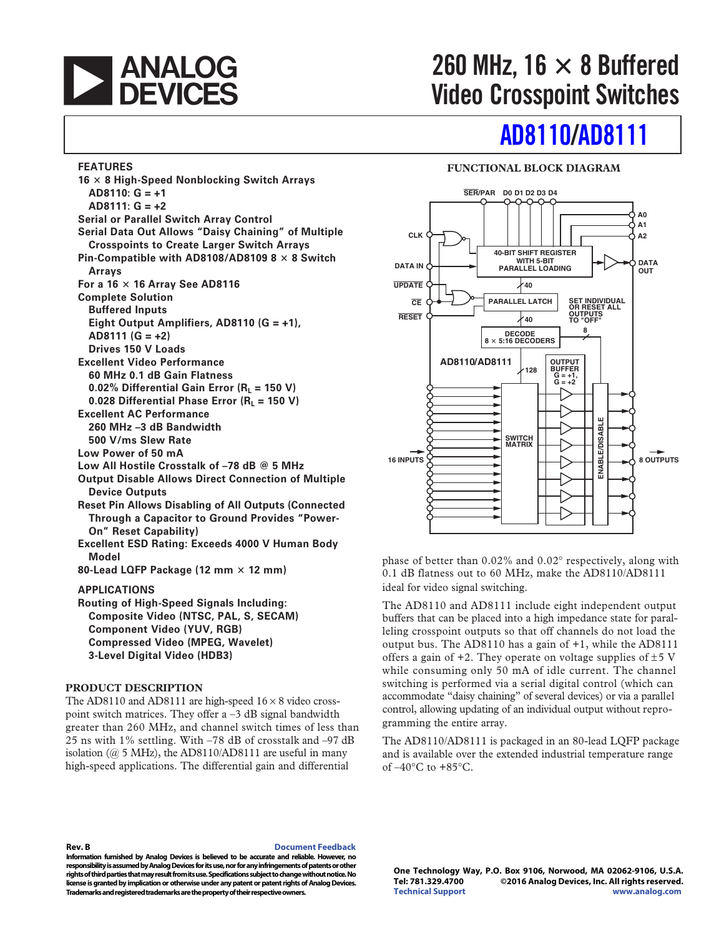

**16** - **8 High-Speed Nonblocking Switch Arrays**

**Eight Output Amplifiers, AD8110 (G = +1),**

**0.02% Differential Gain Error (R<sub>I</sub> = 150 V)** 0.028 Differential Phase Error (R<sub>L</sub> = 150 V)

**Low All Hostile Crosstalk of –78 dB @ 5 MHz**

**Output Disable Allows Direct Connection of Multiple**

**Reset Pin Allows Disabling of All Outputs (Connected Through a Capacitor to Ground Provides "Power-**

**Serial Data Out Allows "Daisy Chaining" of Multiple Crosspoints to Create Larger Switch Arrays** Pin-Compatible with AD8108/AD8109 8  $\times$  8 Switch

**Serial or Parallel Switch Array Control**

**For a 16**  $\times$  **16 Array See AD8116** 

**FEATURES**

**Arrays**

**AD8110: G = +1 AD8111: G = +2**

**Complete Solution Buffered Inputs**

**AD8111 (G = +2) Drives 150 V Loads Excellent Video Performance 60 MHz 0.1 dB Gain Flatness**

**Excellent AC Performance 260 MHz –3 dB Bandwidth 500 V/ms Slew Rate Low Power of 50 mA**

**Device Outputs**

**Model**

## $260$  MHz,  $16 \times 8$  Buffered **Video Crosspoint Switches**

### **[AD8110/](http://www.analog.com/AD8110?doc=AD8110_8111.pdf)[AD8111](http://www.analog.com/AD8111?doc=AD8110_8111.pdf)**

#### **FUNCTIONAL BLOCK DIAGRAM**



phase of better than 0.02% and 0.02° respectively, along with 0.1 dB flatness out to 60 MHz, make the AD8110/AD8111 ideal for video signal switching.

The AD8110 and AD8111 include eight independent output buffers that can be placed into a high impedance state for paralleling crosspoint outputs so that off channels do not load the output bus. The AD8110 has a gain of +1, while the AD8111 offers a gain of  $+2$ . They operate on voltage supplies of  $\pm$ 5 V while consuming only 50 mA of idle current. The channel switching is performed via a serial digital control (which can accommodate "daisy chaining" of several devices) or via a parallel control, allowing updating of an individual output without reprogramming the entire array.

The AD8110/AD8111 is packaged in an 80-lead LQFP package and is available over the extended industrial temperature range of  $-40^{\circ}$ C to  $+85^{\circ}$ C.

**Rev. B [Document Feedback](https://form.analog.com/Form_Pages/feedback/documentfeedback.aspx?doc=AD8110_8111.pdf&product=AD8110%20AD8111&rev=B)** 

**Information furnished by Analog Devices is believed to be accurate and reliable. However, no responsibility is assumed by Analog Devices for its use, nor for any infringements of patents or other rights of third parties that may result from its use. Specifications subject to change without notice. No license is granted by implication or otherwise under any patent or patent rights of Analog Devices. Trademarks and registered trademarks are the property of their respective owners.** 

**One Technology Way, P.O. Box 9106, Norwood, MA 02062-9106, U.S.A. Tel: 781.329.4700 ©2016 Analog Devices, Inc. All rights reserved. [Technical Support](http://www.analog.com/en/content/technical_support_page/fca.html) [www.analog.com](http://www.analog.com)** 

**Excellent ESD Rating: Exceeds 4000 V Human Body** 80-Lead LQFP Package (12 mm  $\times$  12 mm)

**APPLICATIONS Routing of High-Speed Signals Including:**

**On" Reset Capability)**

**Composite Video (NTSC, PAL, S, SECAM) Component Video (YUV, RGB) Compressed Video (MPEG, Wavelet) 3-Level Digital Video (HDB3)**

#### **PRODUCT DESCRIPTION**

The AD8110 and AD8111 are high-speed  $16 \times 8$  video crosspoint switch matrices. They offer  $a - 3$  dB signal bandwidth greater than 260 MHz, and channel switch times of less than 25 ns with 1% settling. With –78 dB of crosstalk and –97 dB isolation (@ 5 MHz), the AD8110/AD8111 are useful in many high-speed applications. The differential gain and differential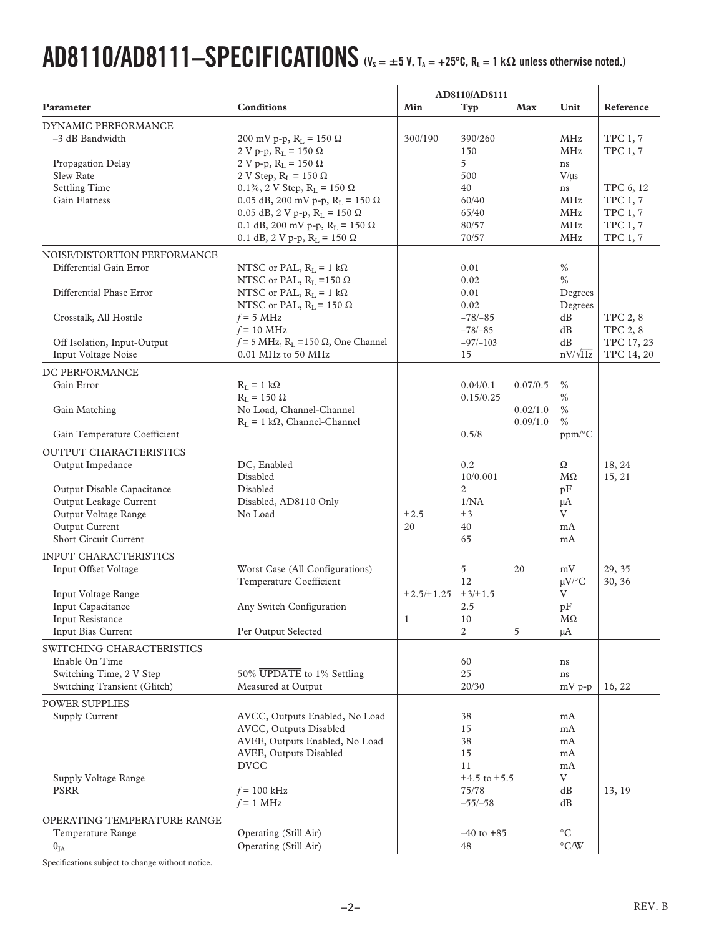# $AD8110/AD8111-SPECIFICATIONS$   $(V_S = \pm 5 V, T_A = +25°C, R_L = 1 k\Omega$  unless otherwise noted.)

|                                                                                                                                                    |                                                                                                                                                                                                                                                                                                                                                     |                 | AD8110/AD8111                                                              |                                  |                                                                            |                                                                                                                             |
|----------------------------------------------------------------------------------------------------------------------------------------------------|-----------------------------------------------------------------------------------------------------------------------------------------------------------------------------------------------------------------------------------------------------------------------------------------------------------------------------------------------------|-----------------|----------------------------------------------------------------------------|----------------------------------|----------------------------------------------------------------------------|-----------------------------------------------------------------------------------------------------------------------------|
| Parameter                                                                                                                                          | <b>Conditions</b>                                                                                                                                                                                                                                                                                                                                   | Min             | Typ                                                                        | Max                              | Unit                                                                       | Reference                                                                                                                   |
| <b>DYNAMIC PERFORMANCE</b><br>$-3$ dB Bandwidth<br>Propagation Delay<br>Slew Rate<br><b>Settling Time</b><br>Gain Flatness                         | 200 mV p-p, R <sub>L</sub> = 150 Ω<br>2 V p-p, $R_L$ = 150 Ω<br>2 V p-p, $R_L$ = 150 Ω<br>2 V Step, $R_L$ = 150 $\Omega$<br>0.1%, 2 V Step, $R_L = 150 \Omega$<br>0.05 dB, 200 mV p-p, $R_L$ = 150 $\Omega$<br>$0.05$ dB, 2 V p-p, R <sub>L</sub> = 150 $\Omega$<br>0.1 dB, 200 mV p-p, $R_L = 150 \Omega$<br>0.1 dB, 2 V p-p, $R_L$ = 150 $\Omega$ | 300/190         | 390/260<br>150<br>5<br>500<br>40<br>60/40<br>65/40<br>80/57<br>70/57       |                                  | MHz<br>MHz<br>ns<br>$V/\mu s$<br>ns<br>MHz<br>MHz<br>MHz<br>MHz            | <b>TPC 1, 7</b><br><b>TPC 1, 7</b><br>TPC 6, 12<br><b>TPC 1, 7</b><br><b>TPC 1, 7</b><br><b>TPC 1, 7</b><br><b>TPC 1, 7</b> |
| NOISE/DISTORTION PERFORMANCE<br>Differential Gain Error<br>Differential Phase Error<br>Crosstalk, All Hostile<br>Off Isolation, Input-Output       | NTSC or PAL, $R_L = 1 k\Omega$<br>NTSC or PAL, $R_L$ =150 $\Omega$<br>NTSC or PAL, $R_L = 1 k\Omega$<br>NTSC or PAL, $R_L$ = 150 $\Omega$<br>$f = 5$ MHz<br>$f = 10$ MHz<br>$f = 5$ MHz, R <sub>L</sub> = 150 $\Omega$ , One Channel                                                                                                                |                 | 0.01<br>0.02<br>0.01<br>0.02<br>$-78/-85$<br>$-78/-85$<br>$-97/-103$       |                                  | $\frac{0}{0}$<br>$\%$<br>Degrees<br>Degrees<br>dB<br>dB<br>dB              | TPC 2, 8<br>TPC 2, 8<br>TPC 17, 23                                                                                          |
| Input Voltage Noise                                                                                                                                | 0.01 MHz to 50 MHz                                                                                                                                                                                                                                                                                                                                  |                 | 15                                                                         |                                  | $nV/\sqrt{Hz}$                                                             | TPC 14, 20                                                                                                                  |
| DC PERFORMANCE<br>Gain Error<br>Gain Matching<br>Gain Temperature Coefficient                                                                      | $R_L = 1 k\Omega$<br>$R_I = 150 \Omega$<br>No Load, Channel-Channel<br>$R_L = 1 k\Omega$ , Channel-Channel                                                                                                                                                                                                                                          |                 | 0.04/0.1<br>0.15/0.25<br>0.5/8                                             | 0.07/0.5<br>0.02/1.0<br>0.09/1.0 | $\frac{0}{0}$<br>$\frac{0}{0}$<br>$\%$<br>$\frac{0}{0}$<br>$ppm/^{\circ}C$ |                                                                                                                             |
| <b>OUTPUT CHARACTERISTICS</b>                                                                                                                      |                                                                                                                                                                                                                                                                                                                                                     |                 |                                                                            |                                  |                                                                            |                                                                                                                             |
| Output Impedance<br>Output Disable Capacitance<br>Output Leakage Current<br>Output Voltage Range<br>Output Current<br><b>Short Circuit Current</b> | DC, Enabled<br>Disabled<br>Disabled<br>Disabled, AD8110 Only<br>No Load                                                                                                                                                                                                                                                                             | $\pm 2.5$<br>20 | 0.2<br>10/0.001<br>$\overline{2}$<br>1/NA<br>±3<br>40<br>65                |                                  | Ω<br>МΩ<br>pF<br>μA<br>V<br>mA<br>mA                                       | 18, 24<br>15, 21                                                                                                            |
| <b>INPUT CHARACTERISTICS</b><br>Input Offset Voltage<br>Input Voltage Range<br>Input Capacitance                                                   | Worst Case (All Configurations)<br>Temperature Coefficient<br>Any Switch Configuration                                                                                                                                                                                                                                                              | ±2.5/±1.25      | 5<br>12<br>±3/±1.5<br>2.5                                                  | 20                               | mV<br>$\mu$ V/°C<br>V<br>pF                                                | 29, 35<br>30, 36                                                                                                            |
| Input Resistance                                                                                                                                   |                                                                                                                                                                                                                                                                                                                                                     | 1               | 10                                                                         |                                  | MΩ                                                                         |                                                                                                                             |
| Input Bias Current<br>SWITCHING CHARACTERISTICS<br>Enable On Time<br>Switching Time, 2 V Step<br>Switching Transient (Glitch)                      | Per Output Selected<br>50% UPDATE to 1% Settling<br>Measured at Output                                                                                                                                                                                                                                                                              |                 | $\overline{2}$<br>60<br>25<br>20/30                                        | 5                                | μA<br>ns<br>ns<br>mV p-p                                                   | 16, 22                                                                                                                      |
| <b>POWER SUPPLIES</b><br>Supply Current<br>Supply Voltage Range<br><b>PSRR</b>                                                                     | AVCC, Outputs Enabled, No Load<br>AVCC, Outputs Disabled<br>AVEE, Outputs Enabled, No Load<br>AVEE, Outputs Disabled<br><b>DVCC</b><br>$f = 100$ kHz<br>$f = 1$ MHz                                                                                                                                                                                 |                 | 38<br>15<br>38<br>15<br>11<br>$\pm 4.5$ to $\pm 5.5$<br>75/78<br>$-55/-58$ |                                  | mA<br>mA<br>mA<br>mA<br>mA<br>V<br>dB<br>dB                                | 13, 19                                                                                                                      |
| OPERATING TEMPERATURE RANGE<br>Temperature Range<br>$\theta_{JA}$                                                                                  | Operating (Still Air)<br>Operating (Still Air)                                                                                                                                                                                                                                                                                                      |                 | $-40$ to $+85$<br>48                                                       |                                  | $\rm ^{\circ}C$<br>$\mathrm{C/W}$                                          |                                                                                                                             |

Specifications subject to change without notice.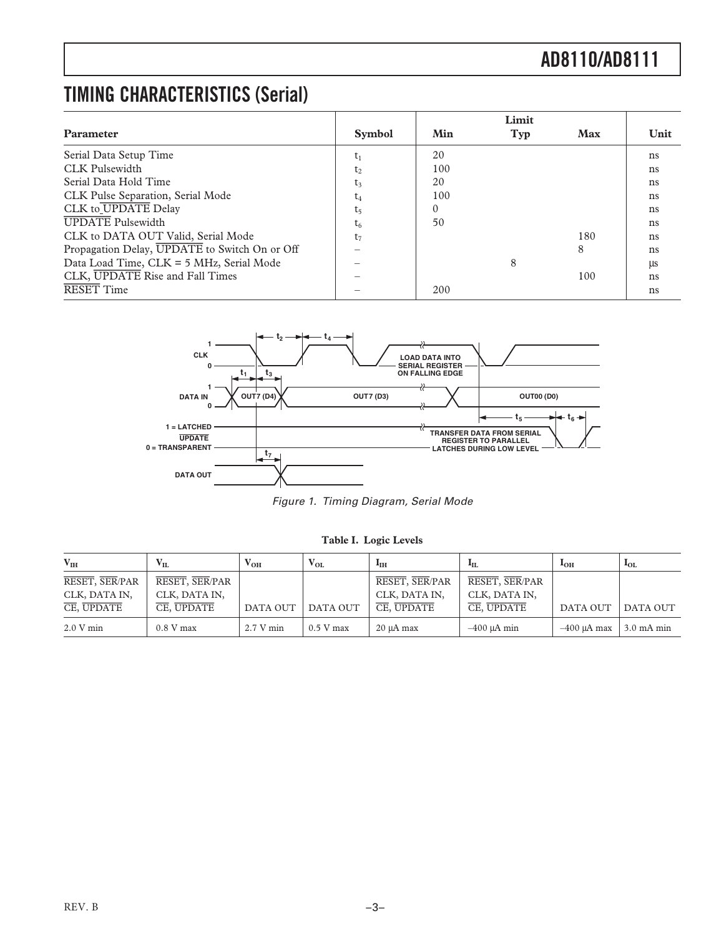### **TIMING CHARACTERISTICS (Serial)**

|                                               |                |          | Limit |     |      |
|-----------------------------------------------|----------------|----------|-------|-----|------|
| <b>Parameter</b>                              | <b>Symbol</b>  | Min      | Typ   | Max | Unit |
| Serial Data Setup Time                        | $t_1$          | 20       |       |     | ns   |
| CLK Pulsewidth                                | t <sub>2</sub> | 100      |       |     | ns   |
| Serial Data Hold Time                         | t3             | 20       |       |     | ns   |
| CLK Pulse Separation, Serial Mode             | t4             | 100      |       |     | ns   |
| CLK to UPDATE Delay                           | t <sub>5</sub> | $\Omega$ |       |     | ns   |
| <b>UPDATE</b> Pulsewidth                      | $t_{6}$        | 50       |       |     | ns   |
| CLK to DATA OUT Valid, Serial Mode            | t <sub>7</sub> |          |       | 180 | ns   |
| Propagation Delay, UPDATE to Switch On or Off |                |          |       | 8   | ns   |
| Data Load Time, CLK = 5 MHz, Serial Mode      |                |          | 8     |     | ЦS   |
| CLK, UPDATE Rise and Fall Times               |                |          |       | 100 | ns   |
| <b>RESET Time</b>                             |                | 200      |       |     | ns   |



Figure 1. Timing Diagram, Serial Mode

**Table I. Logic Levels**

| V <sub>IH</sub>                               | $\mathbf{V}_{\mathbf{H}}$                     | $\rm V_{OH}$ | $V_{OL}$    | <b>I</b> <sub>IH</sub>                        | Aп.                                           | I <sub>OH</sub> | $I_{OL}$             |
|-----------------------------------------------|-----------------------------------------------|--------------|-------------|-----------------------------------------------|-----------------------------------------------|-----------------|----------------------|
| RESET, SER/PAR<br>CLK, DATA IN,<br>CE, UPDATE | RESET, SER/PAR<br>CLK, DATA IN,<br>CE, UPDATE | DATA OUT     | DATA OUT    | RESET, SER/PAR<br>CLK, DATA IN,<br>CE, UPDATE | RESET, SER/PAR<br>CLK, DATA IN,<br>CE, UPDATE | DATA OUT        | DATA OUT             |
| 2.0 V min                                     | $0.8 V$ max                                   | 2.7 V min    | $0.5$ V max | $20 \mu A$ max                                | $-400$ $\mu$ A min                            | $-400$ uA max   | $3.0 \text{ mA min}$ |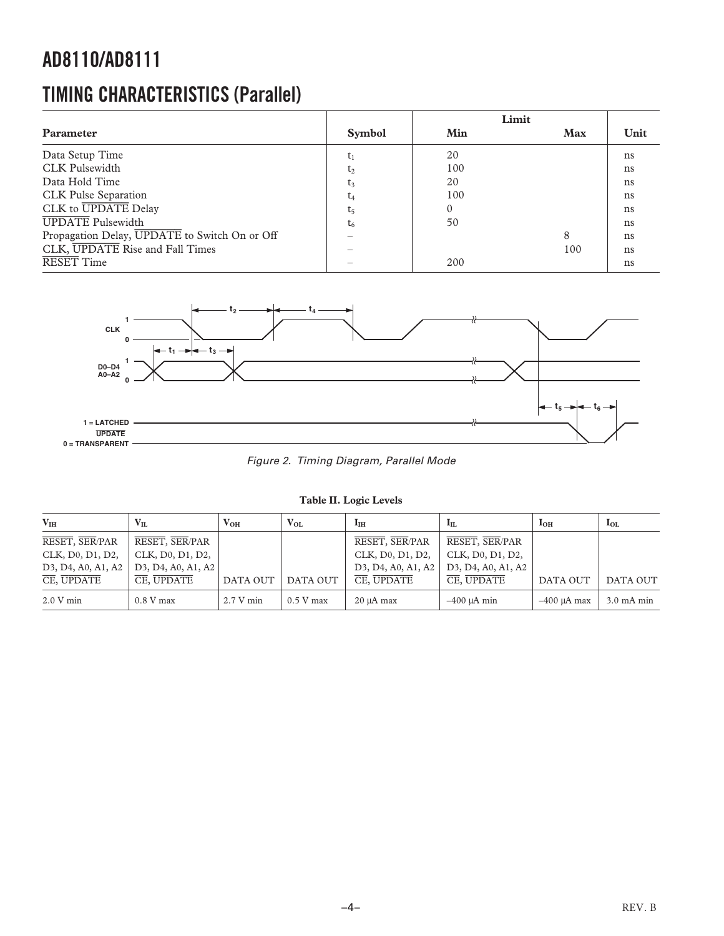### **TIMING CHARACTERISTICS (Parallel)**

|                                               |               |     | Limit      |      |
|-----------------------------------------------|---------------|-----|------------|------|
| Parameter                                     | <b>Symbol</b> | Min | <b>Max</b> | Unit |
| Data Setup Time                               | $t_1$         | 20  |            | ns   |
| <b>CLK Pulsewidth</b>                         | $t_2$         | 100 |            | ns   |
| Data Hold Time                                | t3            | 20  |            | ns   |
| CLK Pulse Separation                          | $t_4$         | 100 |            | ns   |
| CLK to UPDATE Delay                           | t,            |     |            | ns   |
| <b>UPDATE</b> Pulsewidth                      | $t_{6}$       | 50  |            | ns   |
| Propagation Delay, UPDATE to Switch On or Off |               |     | 8          | ns   |
| CLK, UPDATE Rise and Fall Times               |               |     | 100        | ns   |
| <b>RESET Time</b>                             |               | 200 |            | ns   |



Figure 2. Timing Diagram, Parallel Mode

| Table II. Logic Levels |  |  |
|------------------------|--|--|
|------------------------|--|--|

| $V_{IH}$                                                                           | $V_{II.}$          | $V_{OH}$  | $V_{OL}$    | $I_{\rm IH}$                                                                       | $I_{\rm IL}$                                                                       | I <sub>OH</sub> | $I_{OL}$             |
|------------------------------------------------------------------------------------|--------------------|-----------|-------------|------------------------------------------------------------------------------------|------------------------------------------------------------------------------------|-----------------|----------------------|
| RESET, SER/PAR                                                                     | RESET, SER/PAR     |           |             | RESET, SER/PAR                                                                     | RESET, SER/PAR                                                                     |                 |                      |
| CLK, D0, D1, D2,                                                                   | CLK, D0, D1, D2,   |           |             | CLK, D0, D1, D2,                                                                   | CLK, D0, D1, D2,                                                                   |                 |                      |
| D <sub>3</sub> , D <sub>4</sub> , A <sub>0</sub> , A <sub>1</sub> , A <sub>2</sub> | D3, D4, A0, A1, A2 |           |             | D <sub>3</sub> , D <sub>4</sub> , A <sub>0</sub> , A <sub>1</sub> , A <sub>2</sub> | D <sub>3</sub> , D <sub>4</sub> , A <sub>0</sub> , A <sub>1</sub> , A <sub>2</sub> |                 |                      |
| CE, UPDATE                                                                         | CE, UPDATE         | DATA OUT  | DATA OUT    | CE, UPDATE                                                                         | CE, UPDATE                                                                         | <b>DATA OUT</b> | DATA OUT             |
| 2.0 V min                                                                          | $0.8$ V max        | 2.7 V min | $0.5$ V max | 20 µA max                                                                          | $-400$ uA min                                                                      | $-400$ uA max   | $3.0 \text{ mA min}$ |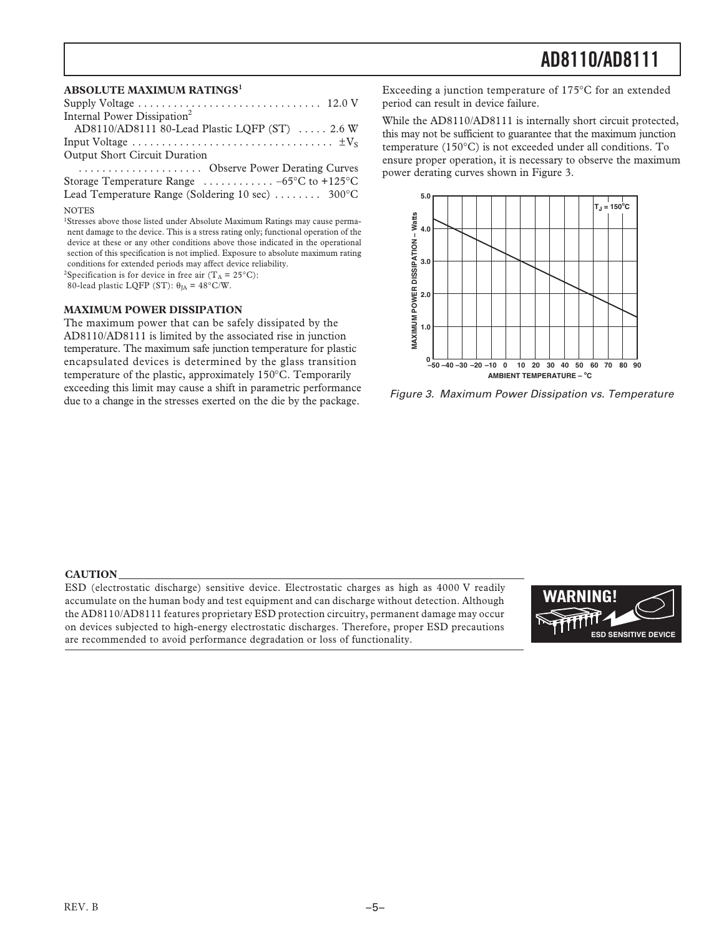#### **ABSOLUTE MAXIMUM RATINGS<sup>1</sup>**

| Internal Power Dissipation <sup>2</sup>                           |
|-------------------------------------------------------------------|
| AD8110/AD8111 80-Lead Plastic LQFP (ST)  2.6 W                    |
|                                                                   |
| <b>Output Short Circuit Duration</b>                              |
| Observe Power Derating Curves                                     |
| Storage Temperature Range $\ldots \ldots \ldots -65$ °C to +125°C |
| Lead Temperature Range (Soldering 10 sec) $\dots \dots$ 300°C     |
|                                                                   |

#### **NOTES**

<sup>1</sup>Stresses above those listed under Absolute Maximum Ratings may cause permanent damage to the device. This is a stress rating only; functional operation of the device at these or any other conditions above those indicated in the operational section of this specification is not implied. Exposure to absolute maximum rating conditions for extended periods may affect device reliability.

<sup>2</sup>Specification is for device in free air  $(T_A = 25^{\circ}C)$ :

80-lead plastic LQFP (ST):  $\theta_{JA} = 48^{\circ}$ C/W.

#### **MAXIMUM POWER DISSIPATION**

The maximum power that can be safely dissipated by the AD8110/AD8111 is limited by the associated rise in junction temperature. The maximum safe junction temperature for plastic encapsulated devices is determined by the glass transition temperature of the plastic, approximately 150°C. Temporarily exceeding this limit may cause a shift in parametric performance due to a change in the stresses exerted on the die by the package.

Exceeding a junction temperature of 175°C for an extended period can result in device failure.

While the AD8110/AD8111 is internally short circuit protected, this may not be sufficient to guarantee that the maximum junction temperature (150°C) is not exceeded under all conditions. To ensure proper operation, it is necessary to observe the maximum power derating curves shown in Figure 3.



Figure 3. Maximum Power Dissipation vs. Temperature

#### **CAUTION**

ESD (electrostatic discharge) sensitive device. Electrostatic charges as high as 4000 V readily accumulate on the human body and test equipment and can discharge without detection. Although the AD8110/AD8111 features proprietary ESD protection circuitry, permanent damage may occur on devices subjected to high-energy electrostatic discharges. Therefore, proper ESD precautions are recommended to avoid performance degradation or loss of functionality.

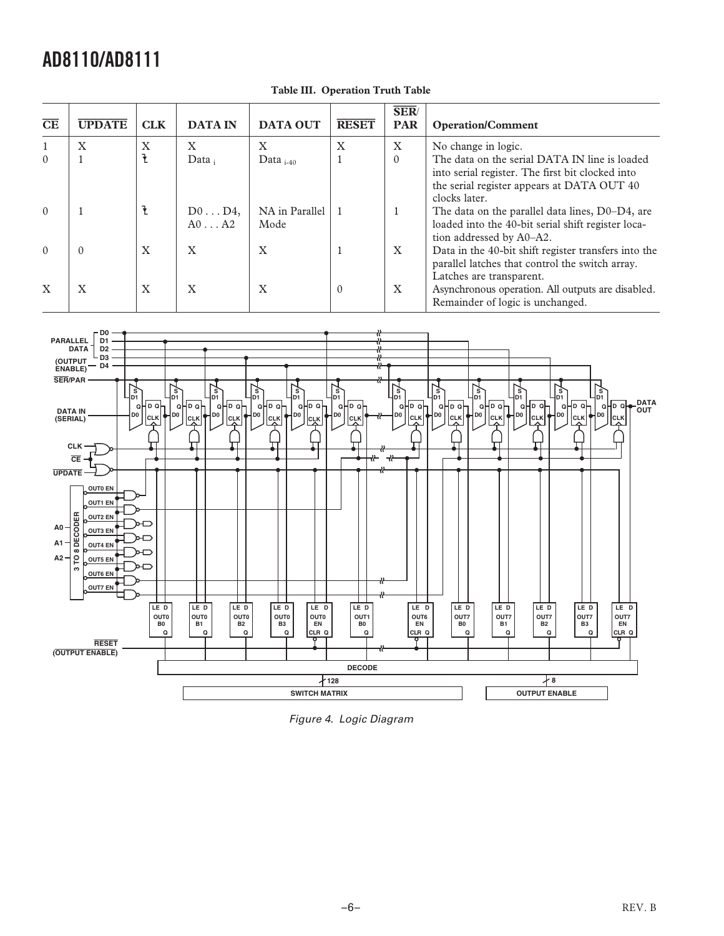| $\overline{\text{CE}}$ | <b>UPDATE</b> | <b>CLK</b> | <b>DATA IN</b>                   | <b>DATA OUT</b>        | <b>RESET</b> | <b>SER</b><br><b>PAR</b> | <b>Operation/Comment</b>                                                                                                                                         |
|------------------------|---------------|------------|----------------------------------|------------------------|--------------|--------------------------|------------------------------------------------------------------------------------------------------------------------------------------------------------------|
|                        | X             | X          | X                                | X                      | X            | X                        | No change in logic.                                                                                                                                              |
| $\Omega$               |               |            | $Data_i$                         | Data $_{i=40}$         |              | $\Omega$                 | The data on the serial DATA IN line is loaded<br>into serial register. The first bit clocked into<br>the serial register appears at DATA OUT 40<br>clocks later. |
| $\Omega$               |               |            | $D0 \ldots D4$<br>$A0 \ldots A2$ | NA in Parallel<br>Mode |              |                          | The data on the parallel data lines, D0-D4, are<br>loaded into the 40-bit serial shift register loca-<br>tion addressed by A0-A2.                                |
| $\Omega$               | $\Omega$      | X          | X                                | X                      |              | X                        | Data in the 40-bit shift register transfers into the<br>parallel latches that control the switch array.<br>Latches are transparent.                              |
| $\mathbf{X}$           | $\mathbf{X}$  | X          | $\boldsymbol{\mathrm{X}}$        | X                      | $\Omega$     | X                        | Asynchronous operation. All outputs are disabled.<br>Remainder of logic is unchanged.                                                                            |

#### **Table III. Operation Truth Table**



Figure 4. Logic Diagram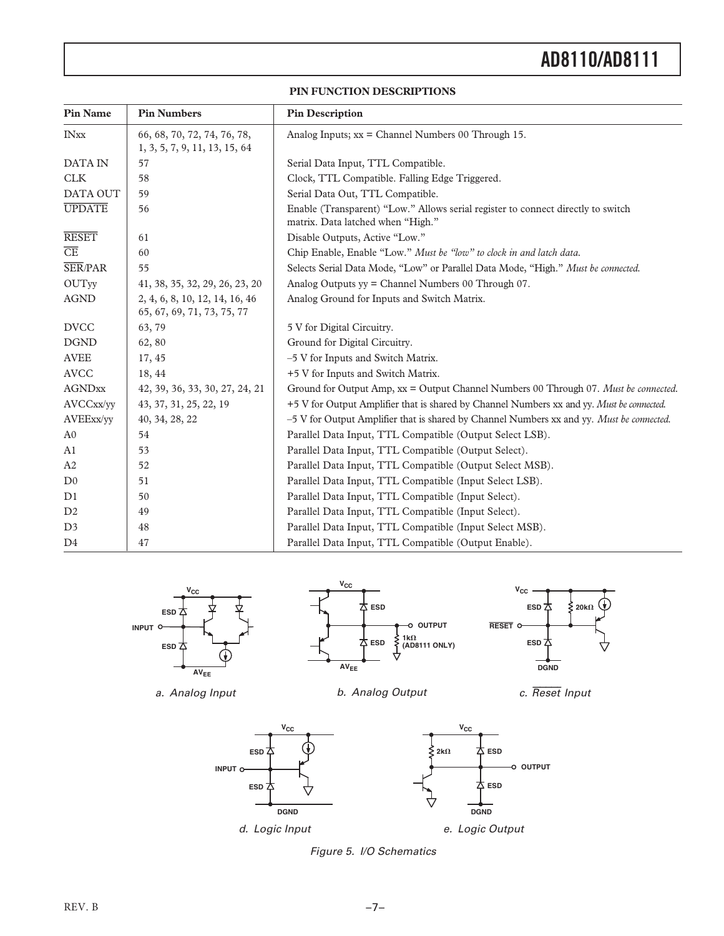#### **PIN FUNCTION DESCRIPTIONS**

| <b>Pin Name</b>        | <b>Pin Numbers</b>                                           | <b>Pin Description</b>                                                                                                |
|------------------------|--------------------------------------------------------------|-----------------------------------------------------------------------------------------------------------------------|
| <b>INxx</b>            | 66, 68, 70, 72, 74, 76, 78,<br>1, 3, 5, 7, 9, 11, 13, 15, 64 | Analog Inputs; $xx =$ Channel Numbers 00 Through 15.                                                                  |
| <b>DATA IN</b>         | 57                                                           | Serial Data Input, TTL Compatible.                                                                                    |
| <b>CLK</b>             | 58                                                           | Clock, TTL Compatible. Falling Edge Triggered.                                                                        |
| DATA OUT               | 59                                                           | Serial Data Out, TTL Compatible.                                                                                      |
| <b>UPDATE</b>          | 56                                                           | Enable (Transparent) "Low." Allows serial register to connect directly to switch<br>matrix. Data latched when "High." |
| <b>RESET</b>           | 61                                                           | Disable Outputs, Active "Low."                                                                                        |
| $\overline{\text{CE}}$ | 60                                                           | Chip Enable, Enable "Low." Must be "low" to clock in and latch data.                                                  |
| <b>SER/PAR</b>         | 55                                                           | Selects Serial Data Mode, "Low" or Parallel Data Mode, "High." Must be connected.                                     |
| <b>OUTyy</b>           | 41, 38, 35, 32, 29, 26, 23, 20                               | Analog Outputs yy = Channel Numbers 00 Through 07.                                                                    |
| <b>AGND</b>            | 2, 4, 6, 8, 10, 12, 14, 16, 46<br>65, 67, 69, 71, 73, 75, 77 | Analog Ground for Inputs and Switch Matrix.                                                                           |
| <b>DVCC</b>            | 63,79                                                        | 5 V for Digital Circuitry.                                                                                            |
| <b>DGND</b>            | 62,80                                                        | Ground for Digital Circuitry.                                                                                         |
| <b>AVEE</b>            | 17, 45                                                       | -5 V for Inputs and Switch Matrix.                                                                                    |
| <b>AVCC</b>            | 18, 44                                                       | +5 V for Inputs and Switch Matrix.                                                                                    |
| <b>AGNDxx</b>          | 42, 39, 36, 33, 30, 27, 24, 21                               | Ground for Output Amp, xx = Output Channel Numbers 00 Through 07. Must be connected.                                  |
| AVCCxx/yy              | 43, 37, 31, 25, 22, 19                                       | +5 V for Output Amplifier that is shared by Channel Numbers xx and yy. Must be connected.                             |
| AVEExx/yy              | 40, 34, 28, 22                                               | -5 V for Output Amplifier that is shared by Channel Numbers xx and yy. Must be connected.                             |
| A <sub>0</sub>         | 54                                                           | Parallel Data Input, TTL Compatible (Output Select LSB).                                                              |
| A <sub>1</sub>         | 53                                                           | Parallel Data Input, TTL Compatible (Output Select).                                                                  |
| A <sub>2</sub>         | 52                                                           | Parallel Data Input, TTL Compatible (Output Select MSB).                                                              |
| D <sub>0</sub>         | 51                                                           | Parallel Data Input, TTL Compatible (Input Select LSB).                                                               |
| D1                     | 50                                                           | Parallel Data Input, TTL Compatible (Input Select).                                                                   |
| D2                     | 49                                                           | Parallel Data Input, TTL Compatible (Input Select).                                                                   |
| D <sub>3</sub>         | 48                                                           | Parallel Data Input, TTL Compatible (Input Select MSB).                                                               |
| D4                     | 47                                                           | Parallel Data Input, TTL Compatible (Output Enable).                                                                  |



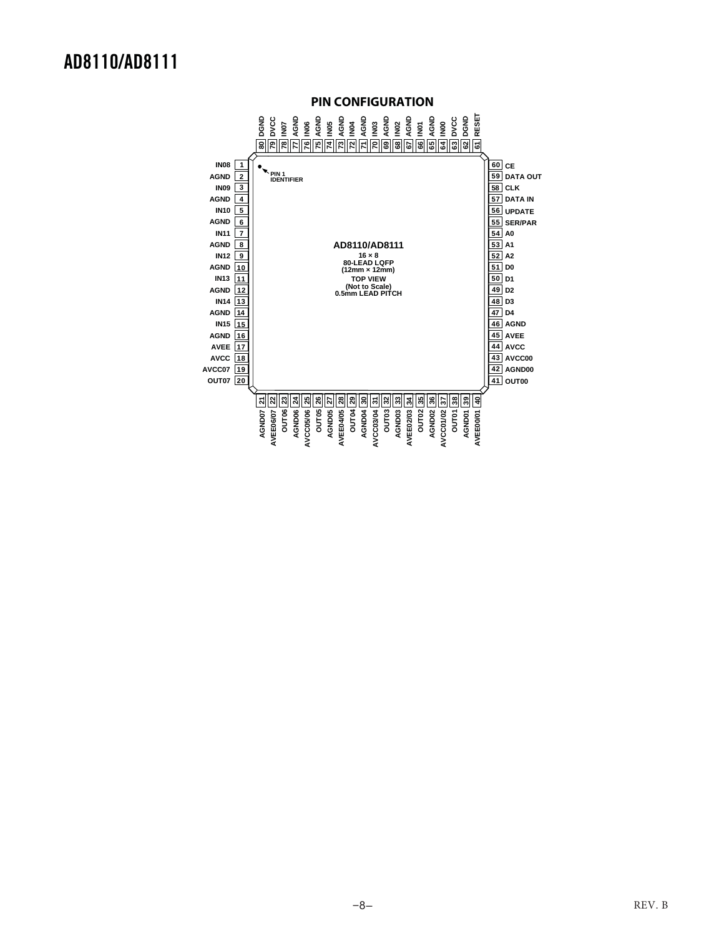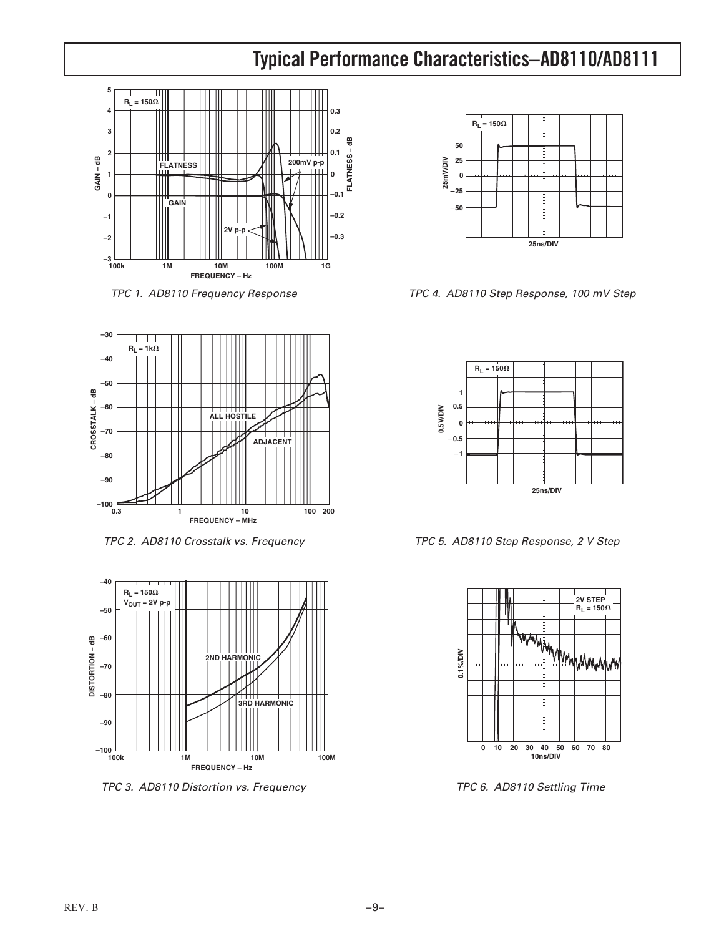### **Typical Performance Characteristics–AD8110/AD8111**



TPC 1. AD8110 Frequency Response



TPC 2. AD8110 Crosstalk vs. Frequency



TPC 3. AD8110 Distortion vs. Frequency



TPC 4. AD8110 Step Response, 100 mV Step



TPC 5. AD8110 Step Response, 2 V Step



TPC 6. AD8110 Settling Time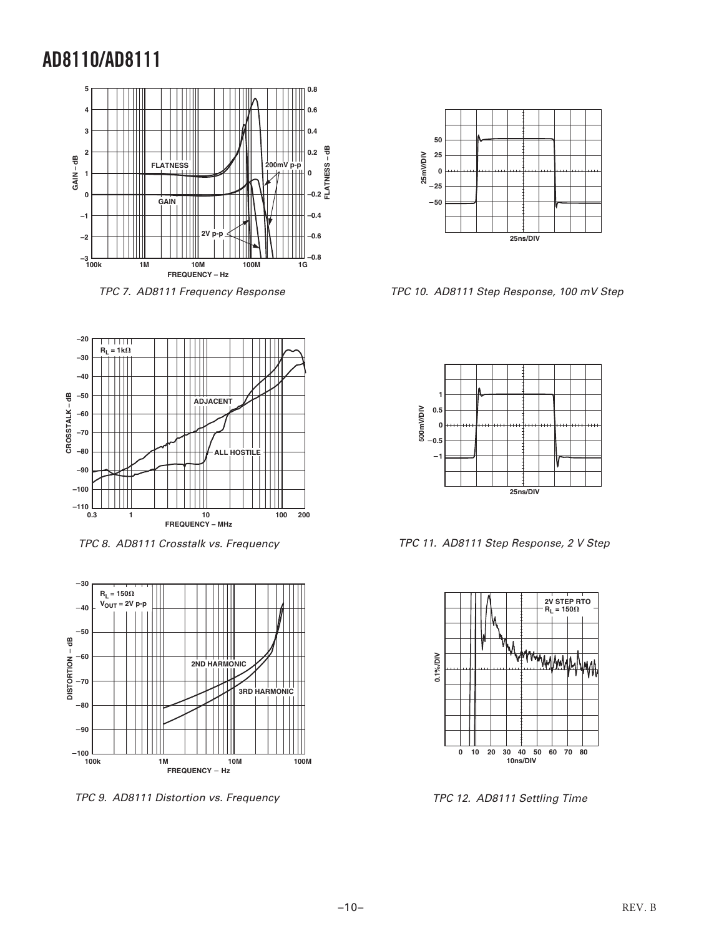

TPC 7. AD8111 Frequency Response



TPC 8. AD8111 Crosstalk vs. Frequency



TPC 9. AD8111 Distortion vs. Frequency



TPC 10. AD8111 Step Response, 100 mV Step



TPC 11. AD8111 Step Response, 2 V Step



TPC 12. AD8111 Settling Time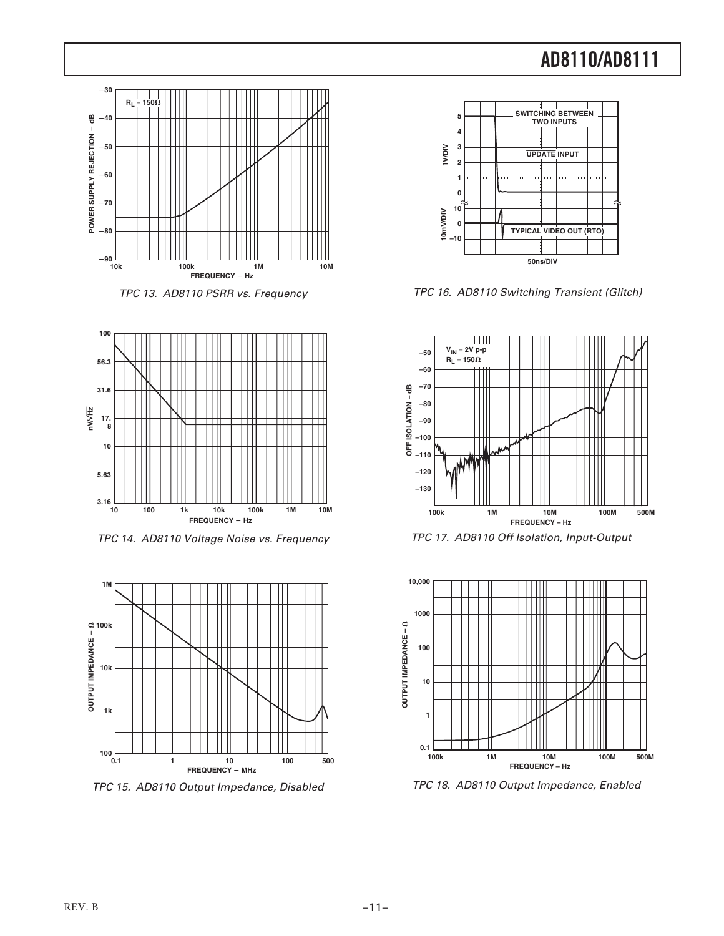





TPC 14. AD8110 Voltage Noise vs. Frequency



TPC 15. AD8110 Output Impedance, Disabled



TPC 16. AD8110 Switching Transient (Glitch)







TPC 18. AD8110 Output Impedance, Enabled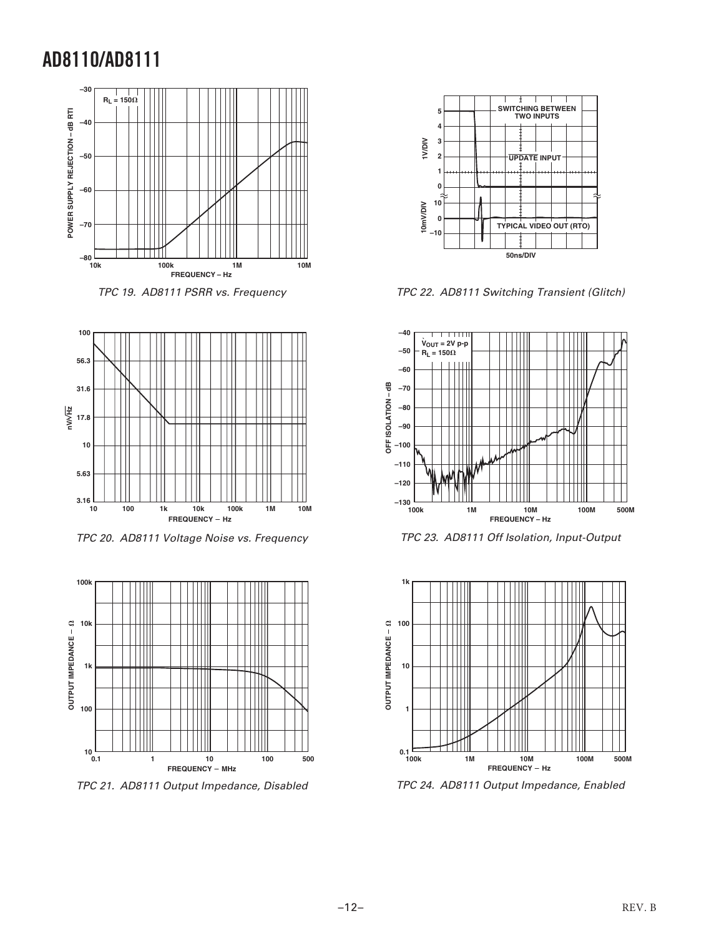





TPC 20. AD8111 Voltage Noise vs. Frequency



TPC 21. AD8111 Output Impedance, Disabled



TPC 22. AD8111 Switching Transient (Glitch)







TPC 24. AD8111 Output Impedance, Enabled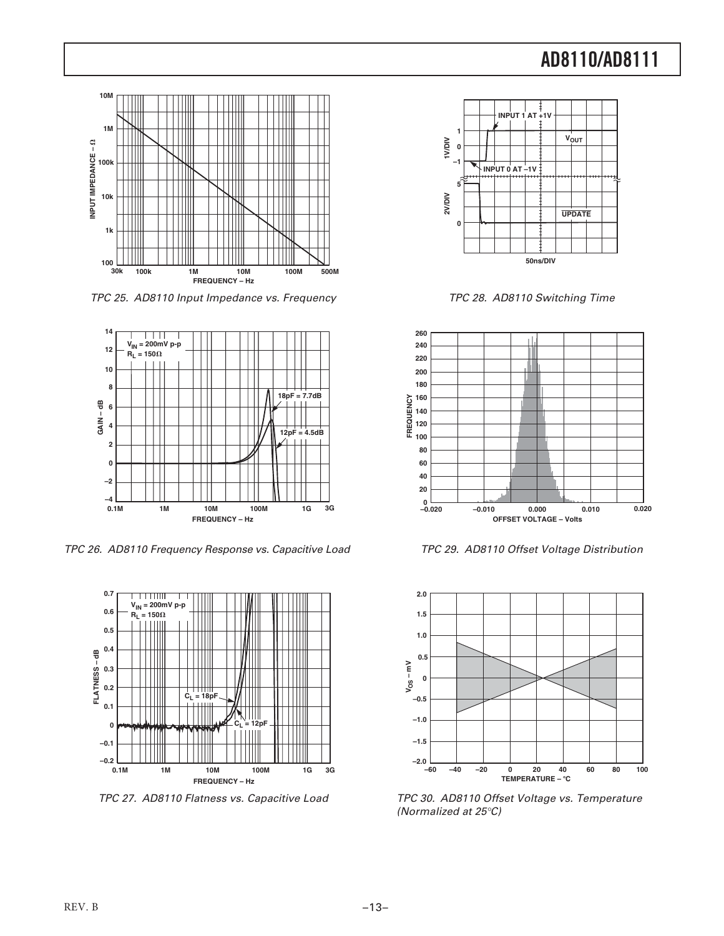

TPC 25. AD8110 Input Impedance vs. Frequency



TPC 26. AD8110 Frequency Response vs. Capacitive Load



TPC 27. AD8110 Flatness vs. Capacitive Load



TPC 28. AD8110 Switching Time



TPC 29. AD8110 Offset Voltage Distribution



TPC 30. AD8110 Offset Voltage vs. Temperature (Normalized at 25°C)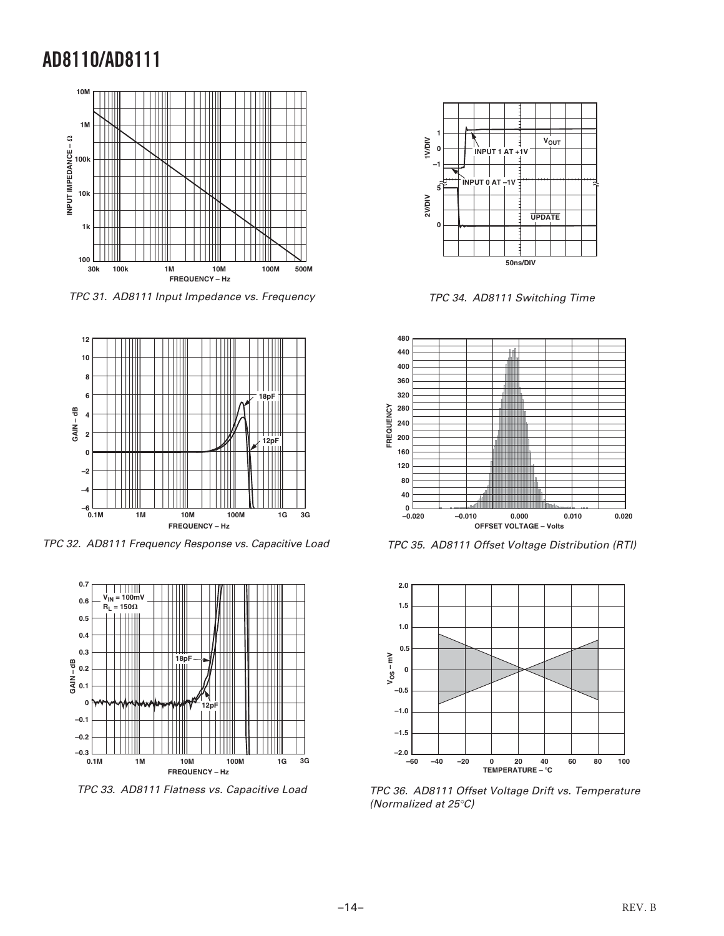

TPC 31. AD8111 Input Impedance vs. Frequency



TPC 32. AD8111 Frequency Response vs. Capacitive Load



TPC 33. AD8111 Flatness vs. Capacitive Load



TPC 34. AD8111 Switching Time



TPC 35. AD8111 Offset Voltage Distribution (RTI)



TPC 36. AD8111 Offset Voltage Drift vs. Temperature (Normalized at 25°C)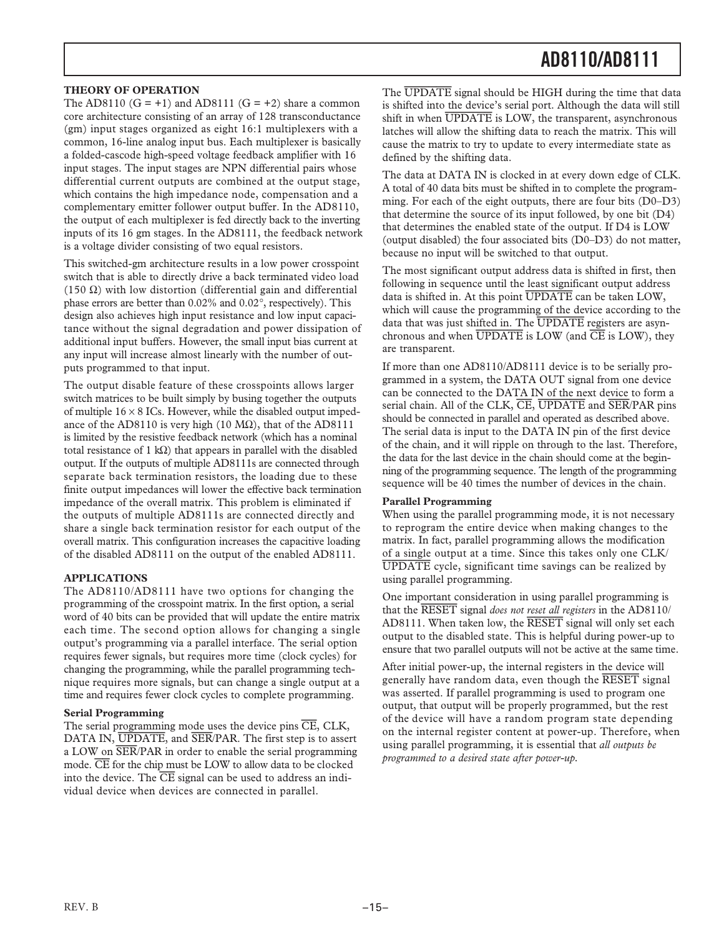#### **THEORY OF OPERATION**

The AD8110  $(G = +1)$  and AD8111  $(G = +2)$  share a common core architecture consisting of an array of 128 transconductance (gm) input stages organized as eight 16:1 multiplexers with a common, 16-line analog input bus. Each multiplexer is basically a folded-cascode high-speed voltage feedback amplifier with 16 input stages. The input stages are NPN differential pairs whose differential current outputs are combined at the output stage, which contains the high impedance node, compensation and a complementary emitter follower output buffer. In the AD8110, the output of each multiplexer is fed directly back to the inverting inputs of its 16 gm stages. In the AD8111, the feedback network is a voltage divider consisting of two equal resistors.

This switched-gm architecture results in a low power crosspoint switch that is able to directly drive a back terminated video load (150  $\Omega$ ) with low distortion (differential gain and differential phase errors are better than 0.02% and 0.02°, respectively). This design also achieves high input resistance and low input capacitance without the signal degradation and power dissipation of additional input buffers. However, the small input bias current at any input will increase almost linearly with the number of outputs programmed to that input.

The output disable feature of these crosspoints allows larger switch matrices to be built simply by busing together the outputs of multiple  $16 \times 8$  ICs. However, while the disabled output impedance of the AD8110 is very high (10  $M\Omega$ ), that of the AD8111 is limited by the resistive feedback network (which has a nominal total resistance of 1 kΩ) that appears in parallel with the disabled output. If the outputs of multiple AD8111s are connected through separate back termination resistors, the loading due to these finite output impedances will lower the effective back termination impedance of the overall matrix. This problem is eliminated if the outputs of multiple AD8111s are connected directly and share a single back termination resistor for each output of the overall matrix. This configuration increases the capacitive loading of the disabled AD8111 on the output of the enabled AD8111.

#### **APPLICATIONS**

The AD8110/AD8111 have two options for changing the programming of the crosspoint matrix. In the first option, a serial word of 40 bits can be provided that will update the entire matrix each time. The second option allows for changing a single output's programming via a parallel interface. The serial option requires fewer signals, but requires more time (clock cycles) for changing the programming, while the parallel programming technique requires more signals, but can change a single output at a time and requires fewer clock cycles to complete programming.

#### **Serial Programming**

The serial programming mode uses the device pins CE, CLK, DATA IN, UPDATE, and SER/PAR. The first step is to assert a LOW on SER/PAR in order to enable the serial programming mode.  $\overline{\text{CE}}$  for the chip must be LOW to allow data to be clocked into the device. The  $\overline{\text{CE}}$  signal can be used to address an individual device when devices are connected in parallel.

The UPDATE signal should be HIGH during the time that data is shifted into the device's serial port. Although the data will still shift in when UPDATE is LOW, the transparent, asynchronous latches will allow the shifting data to reach the matrix. This will cause the matrix to try to update to every intermediate state as defined by the shifting data.

The data at DATA IN is clocked in at every down edge of CLK. A total of 40 data bits must be shifted in to complete the programming. For each of the eight outputs, there are four bits (D0–D3) that determine the source of its input followed, by one bit (D4) that determines the enabled state of the output. If D4 is LOW (output disabled) the four associated bits (D0–D3) do not matter, because no input will be switched to that output.

The most significant output address data is shifted in first, then following in sequence until the least significant output address data is shifted in. At this point UPDATE can be taken LOW, which will cause the programming of the device according to the data that was just shifted in. The UPDATE registers are asynchronous and when  $\overline{UPDATE}$  is LOW (and  $\overline{CE}$  is LOW), they are transparent.

If more than one AD8110/AD8111 device is to be serially programmed in a system, the DATA OUT signal from one device can be connected to the DATA IN of the next device to form a serial chain. All of the CLK,  $\overline{\text{CE}}$ ,  $\overline{\text{UPDATE}}$  and  $\overline{\text{SER}}$   $\overline{\text{PAR}}$  pins should be connected in parallel and operated as described above. The serial data is input to the DATA IN pin of the first device of the chain, and it will ripple on through to the last. Therefore, the data for the last device in the chain should come at the beginning of the programming sequence. The length of the programming sequence will be 40 times the number of devices in the chain.

#### **Parallel Programming**

When using the parallel programming mode, it is not necessary to reprogram the entire device when making changes to the matrix. In fact, parallel programming allows the modification of a single output at a time. Since this takes only one CLK/ UPDATE cycle, significant time savings can be realized by using parallel programming.

One important consideration in using parallel programming is that the RESET signal *does not reset all registers* in the AD8110/ AD8111. When taken low, the RESET signal will only set each output to the disabled state. This is helpful during power-up to ensure that two parallel outputs will not be active at the same time.

After initial power-up, the internal registers in the device will generally have random data, even though the RESET signal was asserted. If parallel programming is used to program one output, that output will be properly programmed, but the rest of the device will have a random program state depending on the internal register content at power-up. Therefore, when using parallel programming, it is essential that *all outputs be programmed to a desired state after power-up.*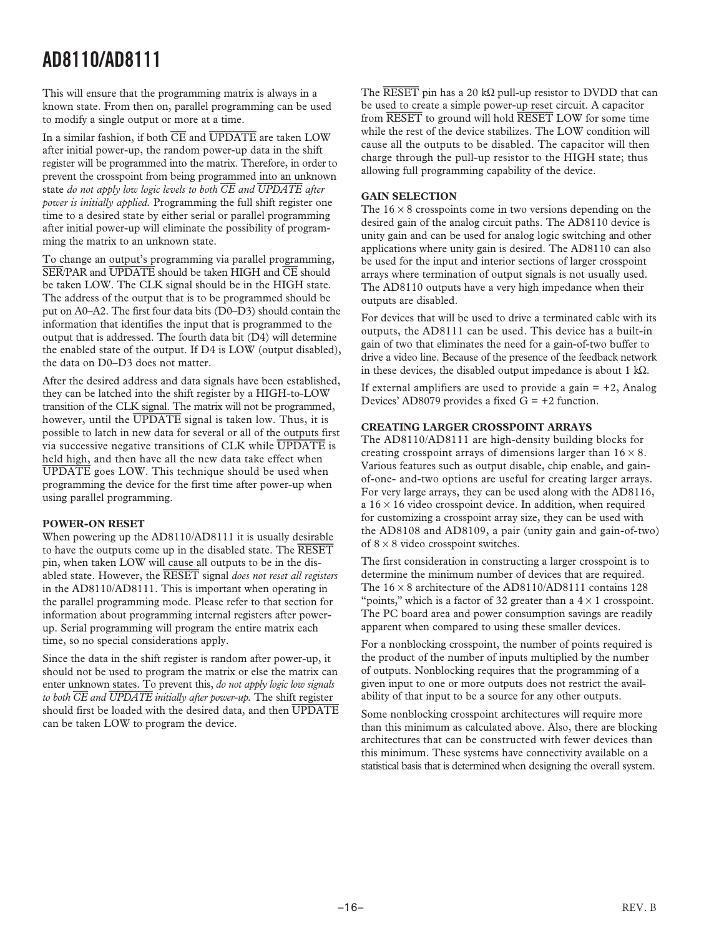This will ensure that the programming matrix is always in a known state. From then on, parallel programming can be used to modify a single output or more at a time.

In a similar fashion, if both CE and UPDATE are taken LOW after initial power-up, the random power-up data in the shift register will be programmed into the matrix. Therefore, in order to prevent the crosspoint from being programmed into an unknown state *do not apply low logic levels to both CE and UPDATE after power is initially applied.* Programming the full shift register one time to a desired state by either serial or parallel programming after initial power-up will eliminate the possibility of programming the matrix to an unknown state.

To change an output's programming via parallel programming, SER/PAR and UPDATE should be taken HIGH and CE should be taken LOW. The CLK signal should be in the HIGH state. The address of the output that is to be programmed should be put on A0–A2. The first four data bits (D0–D3) should contain the information that identifies the input that is programmed to the output that is addressed. The fourth data bit (D4) will determine the enabled state of the output. If D4 is LOW (output disabled), the data on D0–D3 does not matter.

After the desired address and data signals have been established, they can be latched into the shift register by a HIGH-to-LOW transition of the CLK signal. The matrix will not be programmed, however, until the  $\overline{UPDATE}$  signal is taken low. Thus, it is possible to latch in new data for several or all of the outputs first via successive negative transitions of CLK while UPDATE is held high, and then have all the new data take effect when UPDATE goes LOW. This technique should be used when programming the device for the first time after power-up when using parallel programming.

#### **POWER-ON RESET**

When powering up the AD8110/AD8111 it is usually desirable to have the outputs come up in the disabled state. The RESET pin, when taken LOW will cause all outputs to be in the disabled state. However, the RESET signal *does not reset all registers* in the AD8110/AD8111. This is important when operating in the parallel programming mode. Please refer to that section for information about programming internal registers after powerup. Serial programming will program the entire matrix each time, so no special considerations apply.

Since the data in the shift register is random after power-up, it should not be used to program the matrix or else the matrix can enter unknown states. To prevent this, *do not apply logic low signals to both CE and UPDATE initially after power-up.* The shift register should first be loaded with the desired data, and then UPDATE can be taken LOW to program the device.

The  $\overline{\text{RESET}}$  pin has a 20 kΩ pull-up resistor to DVDD that can be used to create a simple power-up reset circuit. A capacitor from RESET to ground will hold RESET LOW for some time while the rest of the device stabilizes. The LOW condition will cause all the outputs to be disabled. The capacitor will then charge through the pull-up resistor to the HIGH state; thus allowing full programming capability of the device.

#### **GAIN SELECTION**

The  $16 \times 8$  crosspoints come in two versions depending on the desired gain of the analog circuit paths. The AD8110 device is unity gain and can be used for analog logic switching and other applications where unity gain is desired. The AD8110 can also be used for the input and interior sections of larger crosspoint arrays where termination of output signals is not usually used. The AD8110 outputs have a very high impedance when their outputs are disabled.

For devices that will be used to drive a terminated cable with its outputs, the AD8111 can be used. This device has a built-in gain of two that eliminates the need for a gain-of-two buffer to drive a video line. Because of the presence of the feedback network in these devices, the disabled output impedance is about 1 kΩ.

If external amplifiers are used to provide a gain  $= +2$ , Analog Devices' AD8079 provides a fixed  $G = +2$  function.

#### **CREATING LARGER CROSSPOINT ARRAYS**

The AD8110/AD8111 are high-density building blocks for creating crosspoint arrays of dimensions larger than  $16 \times 8$ . Various features such as output disable, chip enable, and gainof-one- and-two options are useful for creating larger arrays. For very large arrays, they can be used along with the AD8116, a  $16 \times 16$  video crosspoint device. In addition, when required for customizing a crosspoint array size, they can be used with the AD8108 and AD8109, a pair (unity gain and gain-of-two) of  $8 \times 8$  video crosspoint switches.

The first consideration in constructing a larger crosspoint is to determine the minimum number of devices that are required. The  $16 \times 8$  architecture of the AD8110/AD8111 contains 128 "points," which is a factor of 32 greater than a  $4 \times 1$  crosspoint. The PC board area and power consumption savings are readily apparent when compared to using these smaller devices.

For a nonblocking crosspoint, the number of points required is the product of the number of inputs multiplied by the number of outputs. Nonblocking requires that the programming of a given input to one or more outputs does not restrict the availability of that input to be a source for any other outputs.

Some nonblocking crosspoint architectures will require more than this minimum as calculated above. Also, there are blocking architectures that can be constructed with fewer devices than this minimum. These systems have connectivity available on a statistical basis that is determined when designing the overall system.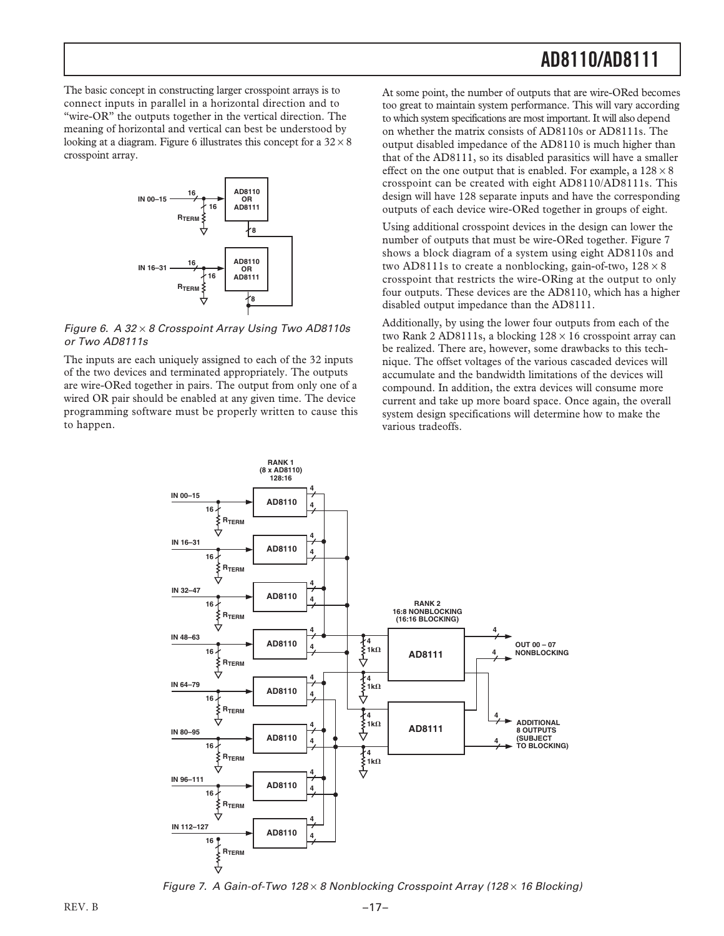The basic concept in constructing larger crosspoint arrays is to connect inputs in parallel in a horizontal direction and to "wire-OR" the outputs together in the vertical direction. The meaning of horizontal and vertical can best be understood by looking at a diagram. Figure 6 illustrates this concept for a  $32 \times 8$ crosspoint array.



Figure 6. A 32 × 8 Crosspoint Array Using Two AD8110s or Two AD8111s

The inputs are each uniquely assigned to each of the 32 inputs of the two devices and terminated appropriately. The outputs are wire-ORed together in pairs. The output from only one of a wired OR pair should be enabled at any given time. The device programming software must be properly written to cause this to happen.

At some point, the number of outputs that are wire-ORed becomes too great to maintain system performance. This will vary according to which system specifications are most important. It will also depend on whether the matrix consists of AD8110s or AD8111s. The output disabled impedance of the AD8110 is much higher than that of the AD8111, so its disabled parasitics will have a smaller effect on the one output that is enabled. For example, a  $128 \times 8$ crosspoint can be created with eight AD8110/AD8111s. This design will have 128 separate inputs and have the corresponding outputs of each device wire-ORed together in groups of eight.

Using additional crosspoint devices in the design can lower the number of outputs that must be wire-ORed together. Figure 7 shows a block diagram of a system using eight AD8110s and two AD8111s to create a nonblocking, gain-of-two,  $128 \times 8$ crosspoint that restricts the wire-ORing at the output to only four outputs. These devices are the AD8110, which has a higher disabled output impedance than the AD8111.

Additionally, by using the lower four outputs from each of the two Rank 2 AD8111s, a blocking  $128 \times 16$  crosspoint array can be realized. There are, however, some drawbacks to this technique. The offset voltages of the various cascaded devices will accumulate and the bandwidth limitations of the devices will compound. In addition, the extra devices will consume more current and take up more board space. Once again, the overall system design specifications will determine how to make the various tradeoffs.



Figure 7. A Gain-of-Two  $128 \times 8$  Nonblocking Crosspoint Array (128 $\times$  16 Blocking)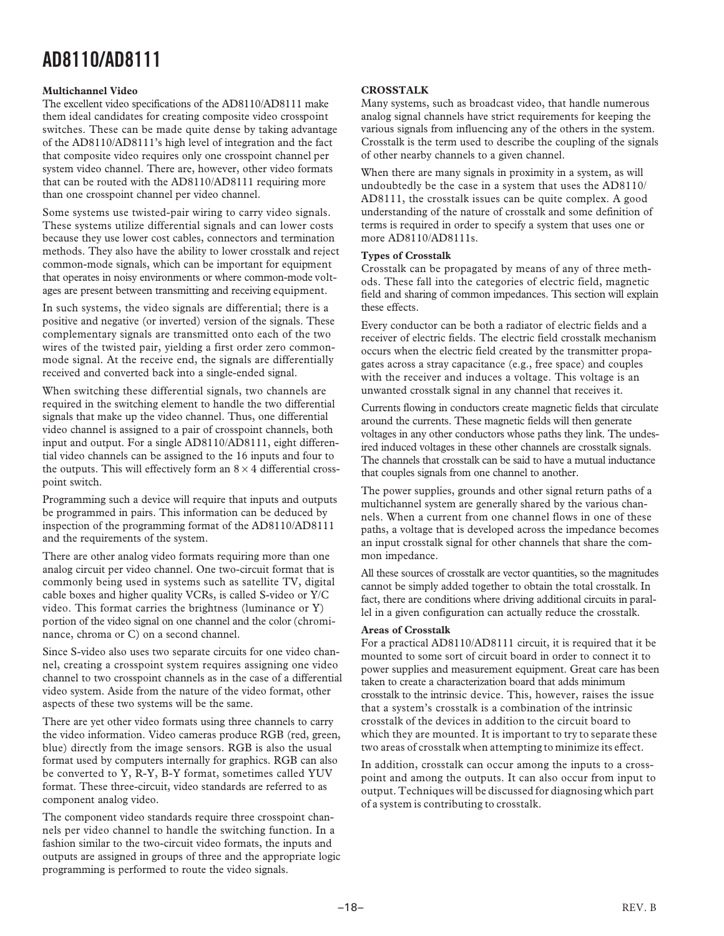#### **Multichannel Video**

The excellent video specifications of the AD8110/AD8111 make them ideal candidates for creating composite video crosspoint switches. These can be made quite dense by taking advantage of the AD8110/AD8111's high level of integration and the fact that composite video requires only one crosspoint channel per system video channel. There are, however, other video formats that can be routed with the AD8110/AD8111 requiring more than one crosspoint channel per video channel.

Some systems use twisted-pair wiring to carry video signals. These systems utilize differential signals and can lower costs because they use lower cost cables, connectors and termination methods. They also have the ability to lower crosstalk and reject common-mode signals, which can be important for equipment that operates in noisy environments or where common-mode voltages are present between transmitting and receiving equipment.

In such systems, the video signals are differential; there is a positive and negative (or inverted) version of the signals. These complementary signals are transmitted onto each of the two wires of the twisted pair, yielding a first order zero commonmode signal. At the receive end, the signals are differentially received and converted back into a single-ended signal.

When switching these differential signals, two channels are required in the switching element to handle the two differential signals that make up the video channel. Thus, one differential video channel is assigned to a pair of crosspoint channels, both input and output. For a single AD8110/AD8111, eight differential video channels can be assigned to the 16 inputs and four to the outputs. This will effectively form an  $8 \times 4$  differential crosspoint switch.

Programming such a device will require that inputs and outputs be programmed in pairs. This information can be deduced by inspection of the programming format of the AD8110/AD8111 and the requirements of the system.

There are other analog video formats requiring more than one analog circuit per video channel. One two-circuit format that is commonly being used in systems such as satellite TV, digital cable boxes and higher quality VCRs, is called S-video or Y/C video. This format carries the brightness (luminance or Y) portion of the video signal on one channel and the color (chrominance, chroma or C) on a second channel.

Since S-video also uses two separate circuits for one video channel, creating a crosspoint system requires assigning one video channel to two crosspoint channels as in the case of a differential video system. Aside from the nature of the video format, other aspects of these two systems will be the same.

There are yet other video formats using three channels to carry the video information. Video cameras produce RGB (red, green, blue) directly from the image sensors. RGB is also the usual format used by computers internally for graphics. RGB can also be converted to Y, R-Y, B-Y format, sometimes called YUV format. These three-circuit, video standards are referred to as component analog video.

The component video standards require three crosspoint channels per video channel to handle the switching function. In a fashion similar to the two-circuit video formats, the inputs and outputs are assigned in groups of three and the appropriate logic programming is performed to route the video signals.

#### **CROSSTALK**

Many systems, such as broadcast video, that handle numerous analog signal channels have strict requirements for keeping the various signals from influencing any of the others in the system. Crosstalk is the term used to describe the coupling of the signals of other nearby channels to a given channel.

When there are many signals in proximity in a system, as will undoubtedly be the case in a system that uses the AD8110/ AD8111, the crosstalk issues can be quite complex. A good understanding of the nature of crosstalk and some definition of terms is required in order to specify a system that uses one or more AD8110/AD8111s.

#### **Types of Crosstalk**

Crosstalk can be propagated by means of any of three methods. These fall into the categories of electric field, magnetic field and sharing of common impedances. This section will explain these effects.

Every conductor can be both a radiator of electric fields and a receiver of electric fields. The electric field crosstalk mechanism occurs when the electric field created by the transmitter propagates across a stray capacitance (e.g., free space) and couples with the receiver and induces a voltage. This voltage is an unwanted crosstalk signal in any channel that receives it.

Currents flowing in conductors create magnetic fields that circulate around the currents. These magnetic fields will then generate voltages in any other conductors whose paths they link. The undesired induced voltages in these other channels are crosstalk signals. The channels that crosstalk can be said to have a mutual inductance that couples signals from one channel to another.

The power supplies, grounds and other signal return paths of a multichannel system are generally shared by the various channels. When a current from one channel flows in one of these paths, a voltage that is developed across the impedance becomes an input crosstalk signal for other channels that share the common impedance.

All these sources of crosstalk are vector quantities, so the magnitudes cannot be simply added together to obtain the total crosstalk. In fact, there are conditions where driving additional circuits in parallel in a given configuration can actually reduce the crosstalk.

#### **Areas of Crosstalk**

For a practical AD8110/AD8111 circuit, it is required that it be mounted to some sort of circuit board in order to connect it to power supplies and measurement equipment. Great care has been taken to create a characterization board that adds minimum crosstalk to the intrinsic device. This, however, raises the issue that a system's crosstalk is a combination of the intrinsic crosstalk of the devices in addition to the circuit board to which they are mounted. It is important to try to separate these two areas of crosstalk when attempting to minimize its effect.

In addition, crosstalk can occur among the inputs to a crosspoint and among the outputs. It can also occur from input to output. Techniques will be discussed for diagnosing which part of a system is contributing to crosstalk.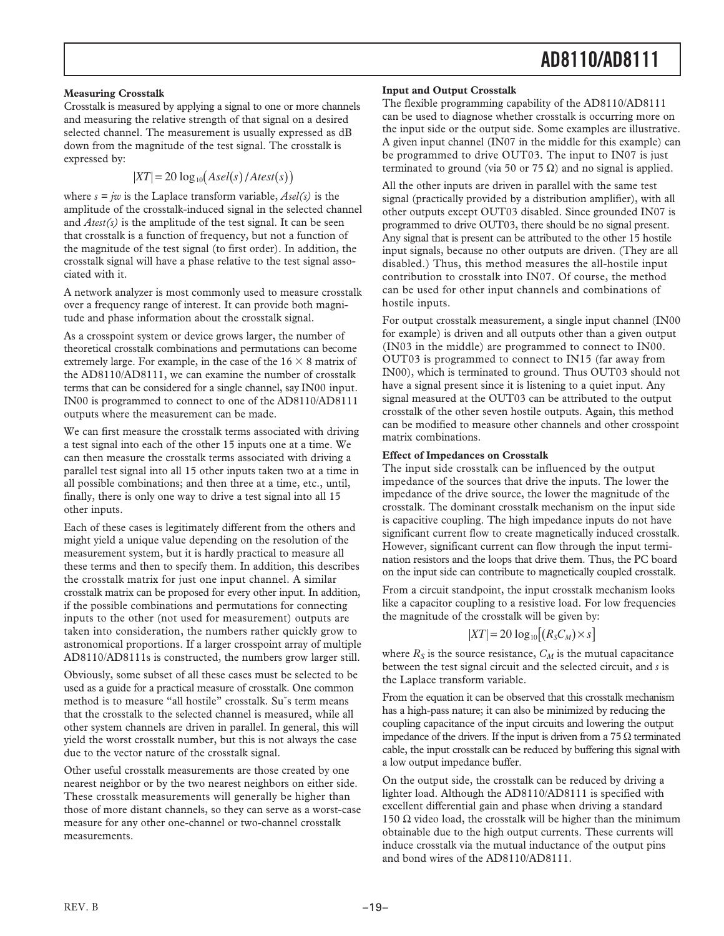#### **Measuring Crosstalk**

Crosstalk is measured by applying a signal to one or more channels and measuring the relative strength of that signal on a desired selected channel. The measurement is usually expressed as dB down from the magnitude of the test signal. The crosstalk is expressed by:

$$
|XT| = 20 \log_{10}(Asel(s)/Atest(s))
$$

where  $s = jw$  is the Laplace transform variable,  $Asel(s)$  is the amplitude of the crosstalk-induced signal in the selected channel and *Atest(s)* is the amplitude of the test signal. It can be seen that crosstalk is a function of frequency, but not a function of the magnitude of the test signal (to first order). In addition, the crosstalk signal will have a phase relative to the test signal associated with it.

A network analyzer is most commonly used to measure crosstalk over a frequency range of interest. It can provide both magnitude and phase information about the crosstalk signal.

As a crosspoint system or device grows larger, the number of theoretical crosstalk combinations and permutations can become extremely large. For example, in the case of the  $16 \times 8$  matrix of the AD8110/AD8111, we can examine the number of crosstalk terms that can be considered for a single channel, say IN00 input. IN00 is programmed to connect to one of the AD8110/AD8111 outputs where the measurement can be made.

We can first measure the crosstalk terms associated with driving a test signal into each of the other 15 inputs one at a time. We can then measure the crosstalk terms associated with driving a parallel test signal into all 15 other inputs taken two at a time in all possible combinations; and then three at a time, etc., until, finally, there is only one way to drive a test signal into all 15 other inputs.

Each of these cases is legitimately different from the others and might yield a unique value depending on the resolution of the measurement system, but it is hardly practical to measure all these terms and then to specify them. In addition, this describes the crosstalk matrix for just one input channel. A similar crosstalk matrix can be proposed for every other input. In addition, if the possible combinations and permutations for connecting inputs to the other (not used for measurement) outputs are taken into consideration, the numbers rather quickly grow to astronomical proportions. If a larger crosspoint array of multiple AD8110/AD8111s is constructed, the numbers grow larger still.

Obviously, some subset of all these cases must be selected to be used as a guide for a practical measure of crosstalk. One common method is to measure "all hostile" crosstalk. Su˘s term means that the crosstalk to the selected channel is measured, while all other system channels are driven in parallel. In general, this will yield the worst crosstalk number, but this is not always the case due to the vector nature of the crosstalk signal.

Other useful crosstalk measurements are those created by one nearest neighbor or by the two nearest neighbors on either side. These crosstalk measurements will generally be higher than those of more distant channels, so they can serve as a worst-case measure for any other one-channel or two-channel crosstalk measurements.

#### **Input and Output Crosstalk**

The flexible programming capability of the AD8110/AD8111 can be used to diagnose whether crosstalk is occurring more on the input side or the output side. Some examples are illustrative. A given input channel (IN07 in the middle for this example) can be programmed to drive OUT03. The input to IN07 is just terminated to ground (via 50 or 75  $\Omega$ ) and no signal is applied.

All the other inputs are driven in parallel with the same test signal (practically provided by a distribution amplifier), with all other outputs except OUT03 disabled. Since grounded IN07 is programmed to drive OUT03, there should be no signal present. Any signal that is present can be attributed to the other 15 hostile input signals, because no other outputs are driven. (They are all disabled.) Thus, this method measures the all-hostile input contribution to crosstalk into IN07. Of course, the method can be used for other input channels and combinations of hostile inputs.

For output crosstalk measurement, a single input channel (IN00 for example) is driven and all outputs other than a given output (IN03 in the middle) are programmed to connect to IN00. OUT03 is programmed to connect to IN15 (far away from IN00), which is terminated to ground. Thus OUT03 should not have a signal present since it is listening to a quiet input. Any signal measured at the OUT03 can be attributed to the output crosstalk of the other seven hostile outputs. Again, this method can be modified to measure other channels and other crosspoint matrix combinations.

#### **Effect of Impedances on Crosstalk**

The input side crosstalk can be influenced by the output impedance of the sources that drive the inputs. The lower the impedance of the drive source, the lower the magnitude of the crosstalk. The dominant crosstalk mechanism on the input side is capacitive coupling. The high impedance inputs do not have significant current flow to create magnetically induced crosstalk. However, significant current can flow through the input termination resistors and the loops that drive them. Thus, the PC board on the input side can contribute to magnetically coupled crosstalk.

From a circuit standpoint, the input crosstalk mechanism looks like a capacitor coupling to a resistive load. For low frequencies the magnitude of the crosstalk will be given by:

$$
|XT| = 20 \log_{10} \left[ \left( R_s C_M \right) \times s \right]
$$

where  $R_S$  is the source resistance,  $C_M$  is the mutual capacitance between the test signal circuit and the selected circuit, and *s* is the Laplace transform variable.

From the equation it can be observed that this crosstalk mechanism has a high-pass nature; it can also be minimized by reducing the coupling capacitance of the input circuits and lowering the output impedance of the drivers. If the input is driven from a 75 Ω terminated cable, the input crosstalk can be reduced by buffering this signal with a low output impedance buffer.

On the output side, the crosstalk can be reduced by driving a lighter load. Although the AD8110/AD8111 is specified with excellent differential gain and phase when driving a standard 150 Ω video load, the crosstalk will be higher than the minimum obtainable due to the high output currents. These currents will induce crosstalk via the mutual inductance of the output pins and bond wires of the AD8110/AD8111.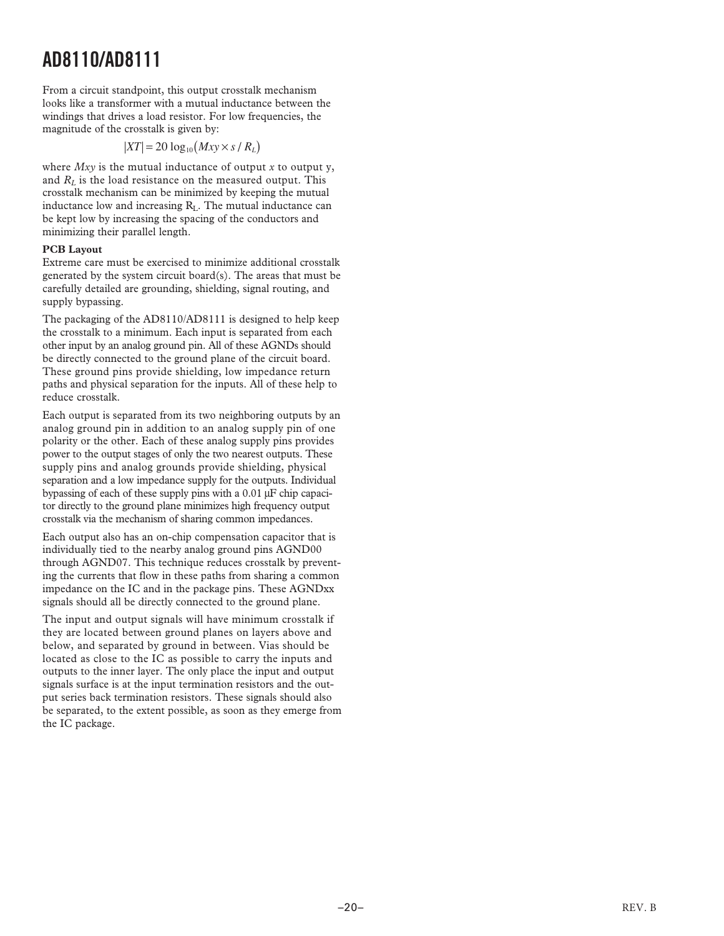From a circuit standpoint, this output crosstalk mechanism looks like a transformer with a mutual inductance between the windings that drives a load resistor. For low frequencies, the magnitude of the crosstalk is given by:

### $|XT| = 20 \log_{10} (Mxy \times s/R_L)$

where *Mxy* is the mutual inductance of output *x* to output y, and *R <sup>L</sup>* is the load resistance on the measured output. This crosstalk mechanism can be minimized by keeping the mutual inductance low and increasing RL. The mutual inductance can be kept low by increasing the spacing of the conductors and minimizing their parallel length.

#### **PCB Layout**

Extreme care must be exercised to minimize additional crosstalk generated by the system circuit board(s). The areas that must be carefully detailed are grounding, shielding, signal routing, and supply bypassing.

The packaging of the AD8110/AD8111 is designed to help keep the crosstalk to a minimum. Each input is separated from each other input by an analog ground pin. All of these AGNDs should be directly connected to the ground plane of the circuit board. These ground pins provide shielding, low impedance return paths and physical separation for the inputs. All of these help to reduce crosstalk.

Each output is separated from its two neighboring outputs by an analog ground pin in addition to an analog supply pin of one polarity or the other. Each of these analog supply pins provides power to the output stages of only the two nearest outputs. These supply pins and analog grounds provide shielding, physical separation and a low impedance supply for the outputs. Individual bypassing of each of these supply pins with a 0.01 μF chip capacitor directly to the ground plane minimizes high frequency output crosstalk via the mechanism of sharing common impedances.

Each output also has an on-chip compensation capacitor that is individually tied to the nearby analog ground pins AGND00 through AGND07. This technique reduces crosstalk by preventing the currents that flow in these paths from sharing a common impedance on the IC and in the package pins. These AGNDxx signals should all be directly connected to the ground plane.

The input and output signals will have minimum crosstalk if they are located between ground planes on layers above and below, and separated by ground in between. Vias should be located as close to the IC as possible to carry the inputs and outputs to the inner layer. The only place the input and output signals surface is at the input termination resistors and the output series back termination resistors. These signals should also be separated, to the extent possible, as soon as they emerge from the IC package.